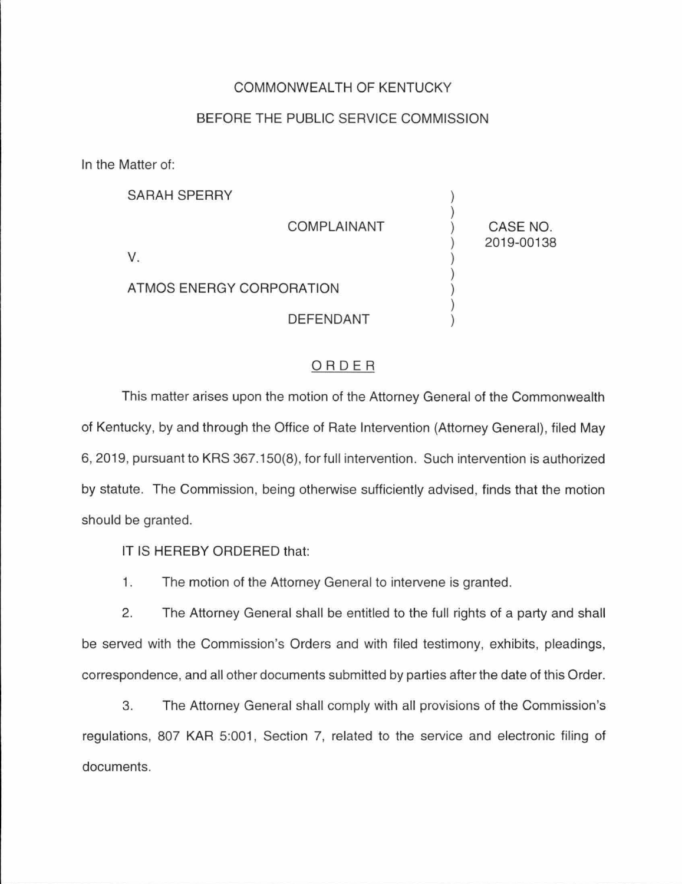## COMMONWEALTH OF KENTUCKY

## BEFORE THE PUBLIC SERVICE COMMISSION

In the Matter of:

| <b>SARAH SPERRY</b>      |                    |                        |
|--------------------------|--------------------|------------------------|
|                          | <b>COMPLAINANT</b> | CASE NO.<br>2019-00138 |
| V.                       |                    |                        |
| ATMOS ENERGY CORPORATION |                    |                        |
|                          | <b>DEFENDANT</b>   |                        |

## ORDER

This matter arises upon the motion of the Attorney General of the Commonwealth of Kentucky, by and through the Office of Rate Intervention (Attorney General), filed May 6, 2019, pursuant to KRS 367.150(8), for full intervention. Such intervention is authorized by statute. The Commission, being otherwise sufficiently advised, finds that the motion should be granted.

IT IS HEREBY ORDERED that:

1. The motion of the Attorney General to intervene is granted.

2. The Attorney General shall be entitled to the full rights of a party and shall be served with the Commission's Orders and with filed testimony, exhibits, pleadings, correspondence, and all other documents submitted by parties after the date of this Order.

3. The Attorney General shall comply with all provisions of the Commission's regulations, 807 KAR 5:001, Section 7, related to the service and electronic filing of documents.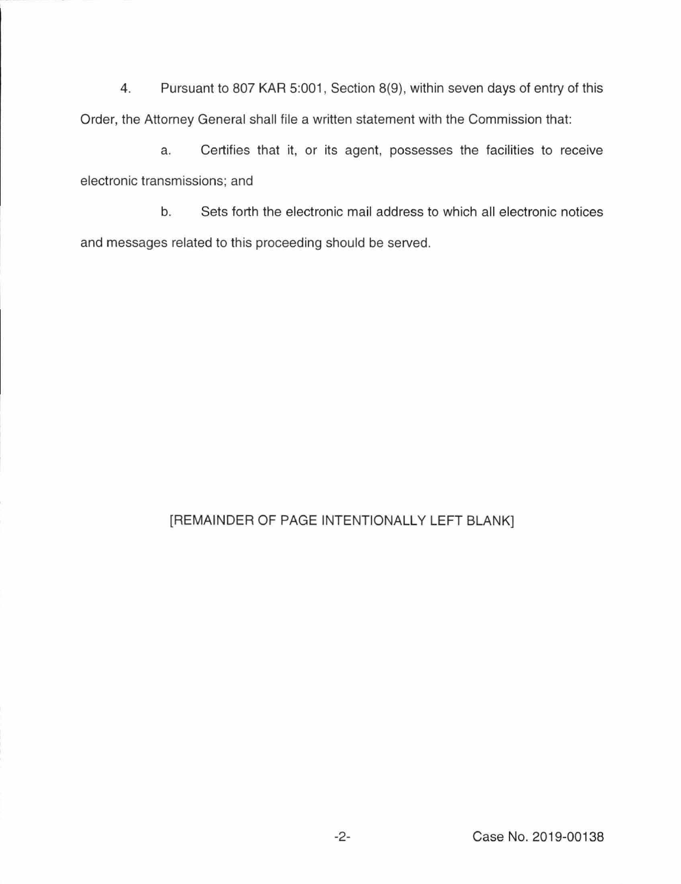4. Pursuant to 807 KAR 5:001, Section 8(9), within seven days of entry of this Order, the Attorney General shall file a written statement with the Commission that:

a. Certifies that it, or its agent, possesses the facilities to receive electronic transmissions; and

b. Sets forth the electronic mail address to which all electronic notices and messages related to this proceeding should be served.

## [REMAINDER OF PAGE INTENTIONALLY LEFT BLANK]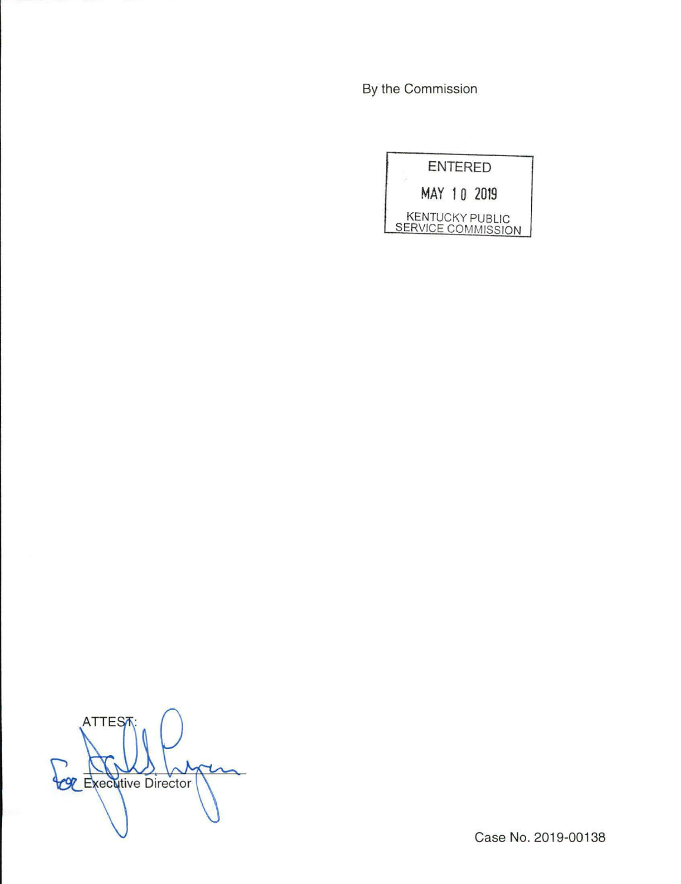By the Commission



**ATTES COL** Executive Director

Case No. 2019-00138